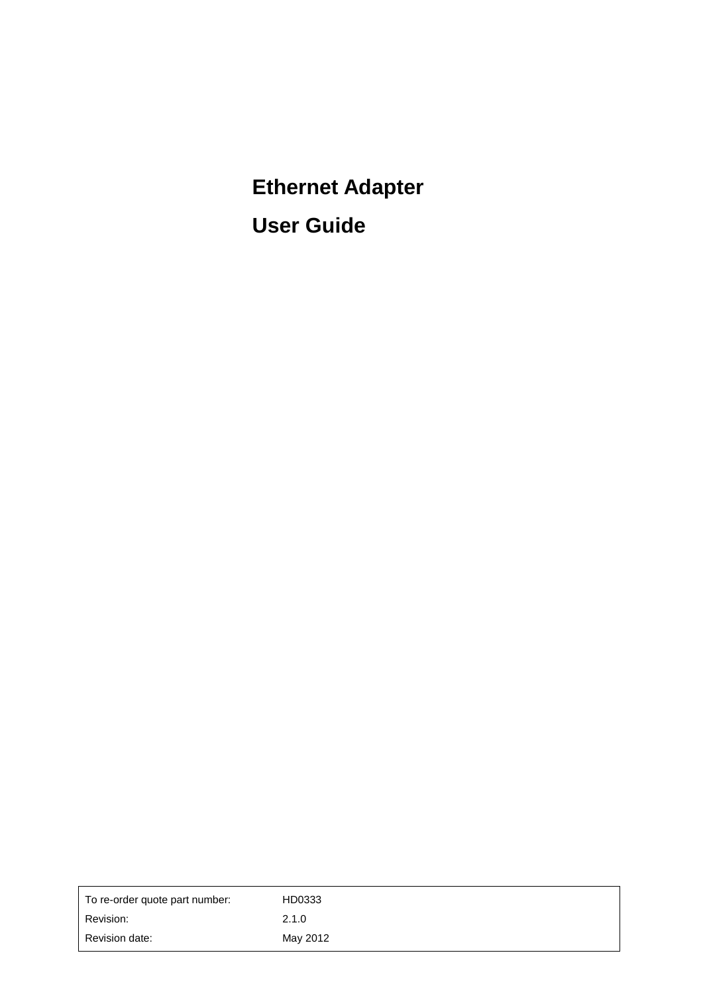# **Ethernet Adapter User Guide**

| To re-order quote part number: | HD0333   |
|--------------------------------|----------|
| Revision:                      | 2.1.0    |
| Revision date:                 | May 2012 |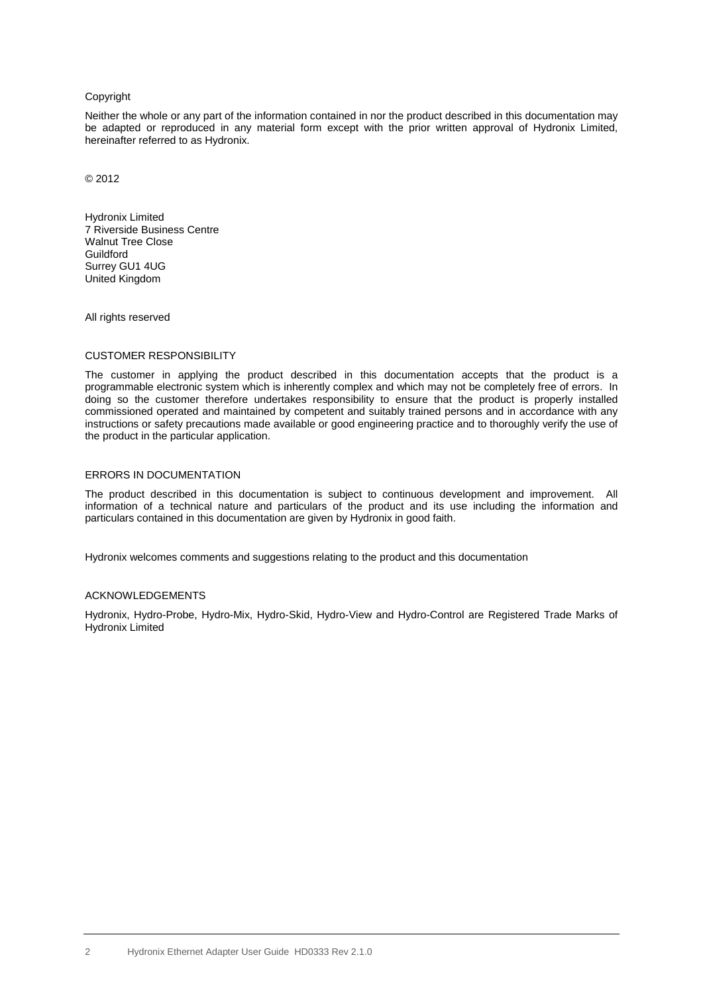#### Copyright

Neither the whole or any part of the information contained in nor the product described in this documentation may be adapted or reproduced in any material form except with the prior written approval of Hydronix Limited, hereinafter referred to as Hydronix.

© 2012

Hydronix Limited 7 Riverside Business Centre Walnut Tree Close **Guildford** Surrey GU1 4UG United Kingdom

All rights reserved

#### CUSTOMER RESPONSIBILITY

The customer in applying the product described in this documentation accepts that the product is a programmable electronic system which is inherently complex and which may not be completely free of errors. In doing so the customer therefore undertakes responsibility to ensure that the product is properly installed commissioned operated and maintained by competent and suitably trained persons and in accordance with any instructions or safety precautions made available or good engineering practice and to thoroughly verify the use of the product in the particular application.

#### ERRORS IN DOCUMENTATION

The product described in this documentation is subject to continuous development and improvement. All information of a technical nature and particulars of the product and its use including the information and particulars contained in this documentation are given by Hydronix in good faith.

Hydronix welcomes comments and suggestions relating to the product and this documentation

#### ACKNOWLEDGEMENTS

Hydronix, Hydro-Probe, Hydro-Mix, Hydro-Skid, Hydro-View and Hydro-Control are Registered Trade Marks of Hydronix Limited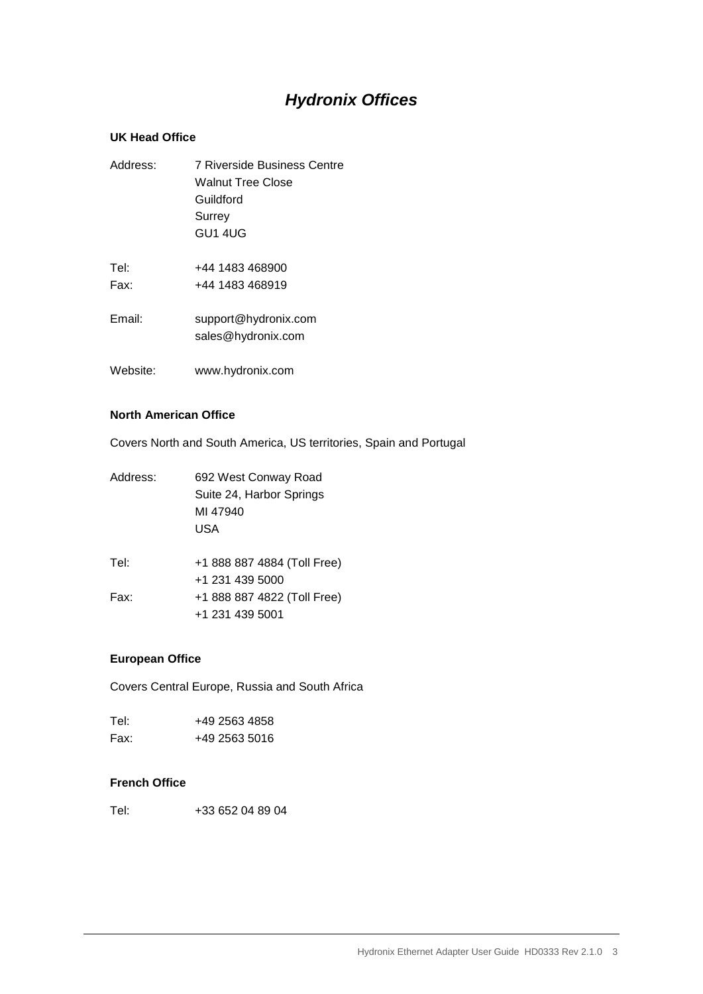# *Hydronix Offices*

#### **UK Head Office**

| Address: | <b>7 Riverside Business Centre</b>         |
|----------|--------------------------------------------|
|          | Walnut Tree Close                          |
|          | Guildford                                  |
|          | Surrey                                     |
|          | GU1 4UG                                    |
| Tel:     | +44 1483 468900                            |
| Fax:     | +44 1483 468919                            |
| Email:   | support@hydronix.com<br>sales@hydronix.com |
| Website: | www.hydronix.com                           |

#### **North American Office**

Covers North and South America, US territories, Spain and Portugal

| Address: | 692 West Conway Road<br>Suite 24, Harbor Springs<br>MI 47940<br>USA |  |
|----------|---------------------------------------------------------------------|--|
| Tel:     | +1 888 887 4884 (Toll Free)                                         |  |
| Fax:     | +1 231 439 5000<br>+1 888 887 4822 (Toll Free)<br>+1 231 439 5001   |  |
|          |                                                                     |  |

#### **European Office**

Covers Central Europe, Russia and South Africa

| Tel: | +49 2563 4858 |
|------|---------------|
| Fax: | +49 2563 5016 |

#### **French Office**

Tel: +33 652 04 89 04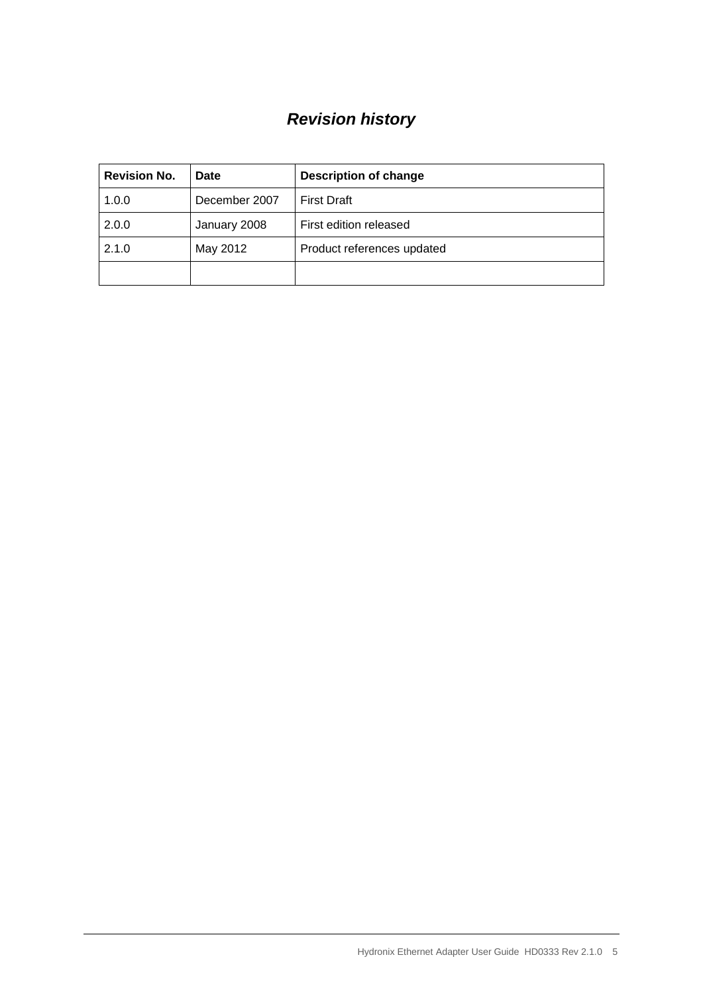# *Revision history*

| <b>Revision No.</b> | Date          | <b>Description of change</b> |
|---------------------|---------------|------------------------------|
| 1.0.0               | December 2007 | <b>First Draft</b>           |
| 2.0.0               | January 2008  | First edition released       |
| 2.1.0               | May 2012      | Product references updated   |
|                     |               |                              |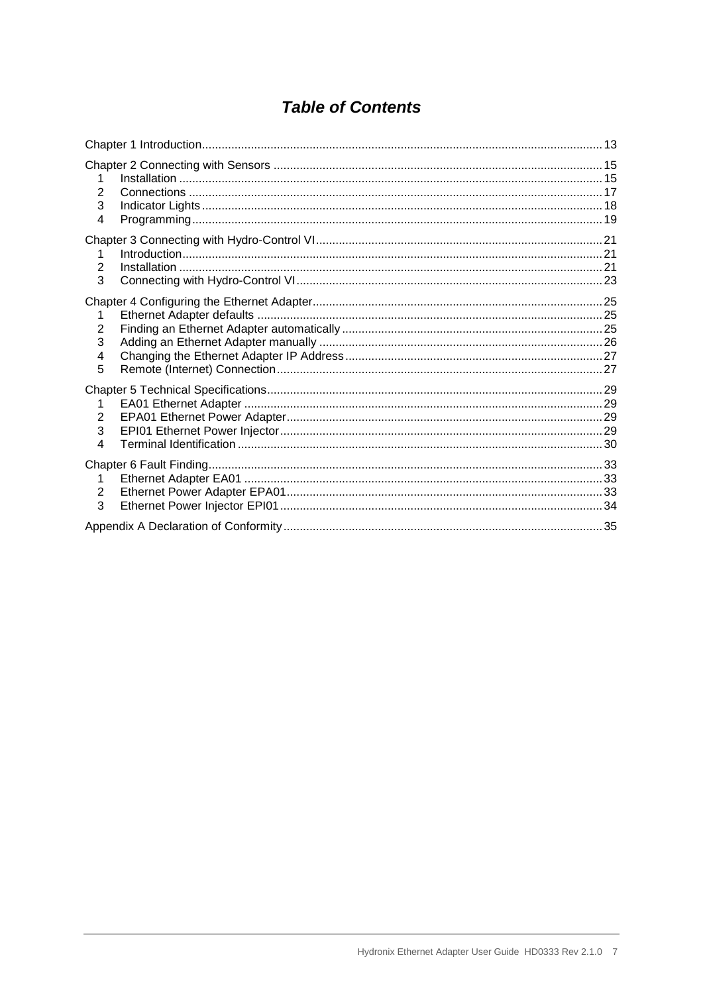# **Table of Contents**

| 2<br>3<br>4                   |  |
|-------------------------------|--|
| 2<br>3                        |  |
| 2<br>3<br>4<br>5              |  |
| 1<br>$\overline{2}$<br>3<br>4 |  |
| 1<br>2<br>3                   |  |
|                               |  |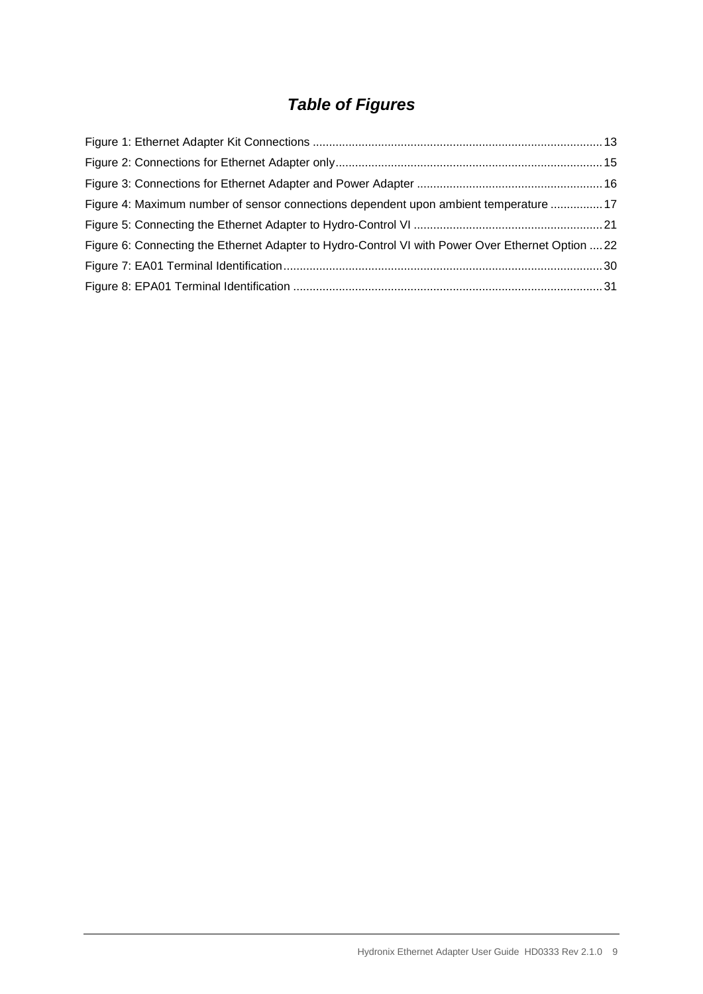# *Table of Figures*

| Figure 4: Maximum number of sensor connections dependent upon ambient temperature  17             |  |
|---------------------------------------------------------------------------------------------------|--|
|                                                                                                   |  |
| Figure 6: Connecting the Ethernet Adapter to Hydro-Control VI with Power Over Ethernet Option  22 |  |
|                                                                                                   |  |
|                                                                                                   |  |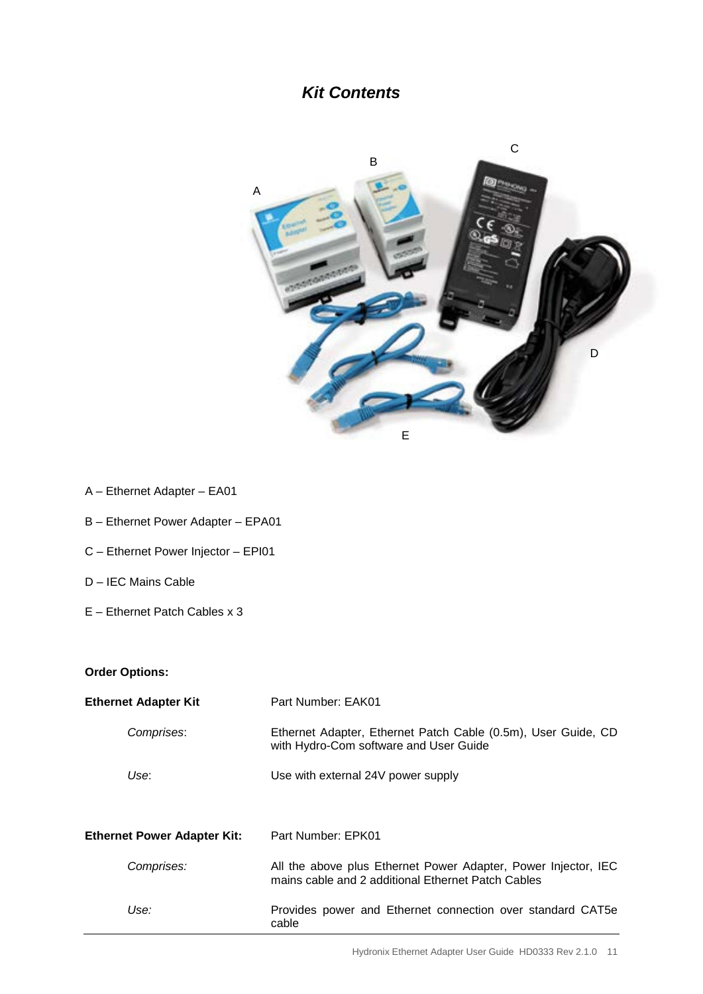# *Kit Contents*



- A Ethernet Adapter EA01
- B Ethernet Power Adapter EPA01
- C Ethernet Power Injector EPI01
- D IEC Mains Cable
- E Ethernet Patch Cables x 3

#### **Order Options:**

| <b>Ethernet Adapter Kit</b>        | Part Number: EAK01                                                                                                   |
|------------------------------------|----------------------------------------------------------------------------------------------------------------------|
| Comprises:                         | Ethernet Adapter, Ethernet Patch Cable (0.5m), User Guide, CD<br>with Hydro-Com software and User Guide              |
| Use:                               | Use with external 24V power supply                                                                                   |
| <b>Ethernet Power Adapter Kit:</b> | Part Number: EPK01                                                                                                   |
| Comprises:                         | All the above plus Ethernet Power Adapter, Power Injector, IEC<br>mains cable and 2 additional Ethernet Patch Cables |
| Use:                               | Provides power and Ethernet connection over standard CAT5e<br>cable                                                  |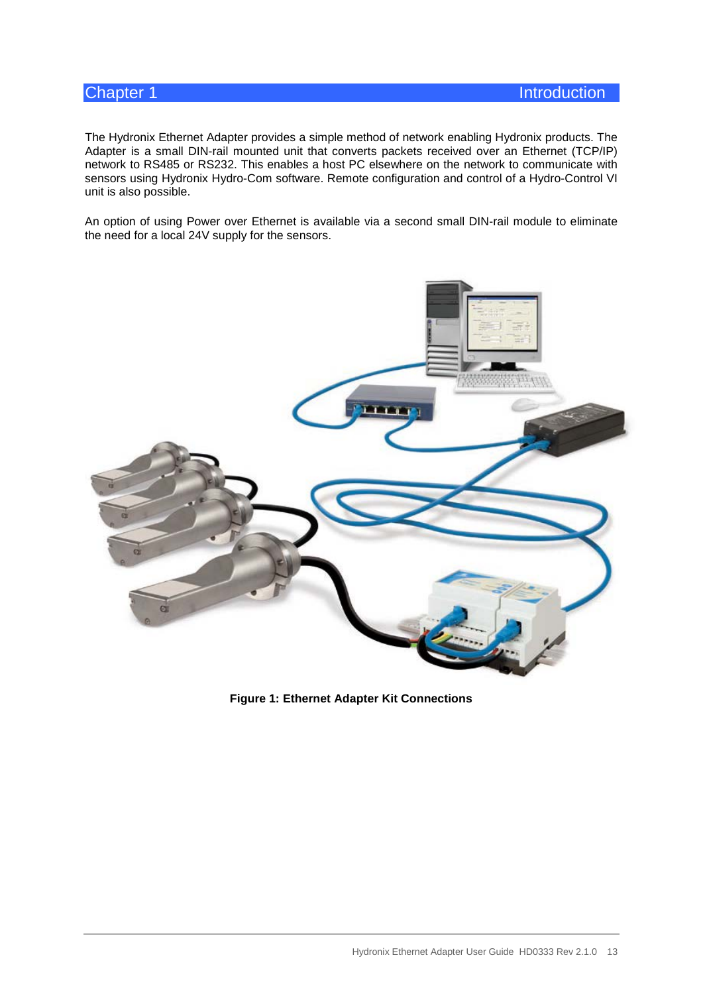<span id="page-12-0"></span>The Hydronix Ethernet Adapter provides a simple method of network enabling Hydronix products. The Adapter is a small DIN-rail mounted unit that converts packets received over an Ethernet (TCP/IP) network to RS485 or RS232. This enables a host PC elsewhere on the network to communicate with sensors using Hydronix Hydro-Com software. Remote configuration and control of a Hydro-Control VI unit is also possible.

An option of using Power over Ethernet is available via a second small DIN-rail module to eliminate the need for a local 24V supply for the sensors.

<span id="page-12-1"></span>

**Figure 1: Ethernet Adapter Kit Connections**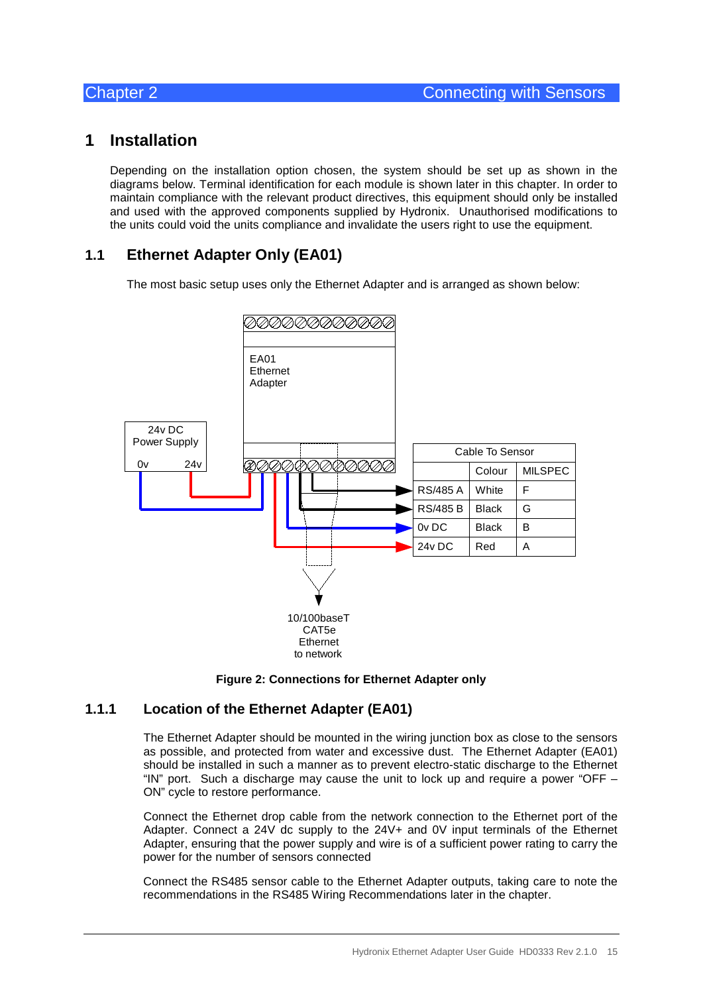## <span id="page-14-1"></span>**1 Installation**

<span id="page-14-0"></span>Depending on the installation option chosen, the system should be set up as shown in the diagrams below. Terminal identification for each module is shown later in this chapter. In order to maintain compliance with the relevant product directives, this equipment should only be installed and used with the approved components supplied by Hydronix. Unauthorised modifications to the units could void the units compliance and invalidate the users right to use the equipment.

## **1.1 Ethernet Adapter Only (EA01)**

The most basic setup uses only the Ethernet Adapter and is arranged as shown below:





#### <span id="page-14-2"></span>**1.1.1 Location of the Ethernet Adapter (EA01)**

The Ethernet Adapter should be mounted in the wiring junction box as close to the sensors as possible, and protected from water and excessive dust. The Ethernet Adapter (EA01) should be installed in such a manner as to prevent electro-static discharge to the Ethernet "IN" port. Such a discharge may cause the unit to lock up and require a power "OFF  $-$ ON" cycle to restore performance.

Connect the Ethernet drop cable from the network connection to the Ethernet port of the Adapter. Connect a 24V dc supply to the 24V+ and 0V input terminals of the Ethernet Adapter, ensuring that the power supply and wire is of a sufficient power rating to carry the power for the number of sensors connected

Connect the RS485 sensor cable to the Ethernet Adapter outputs, taking care to note the recommendations in the RS485 Wiring Recommendations later in the chapter.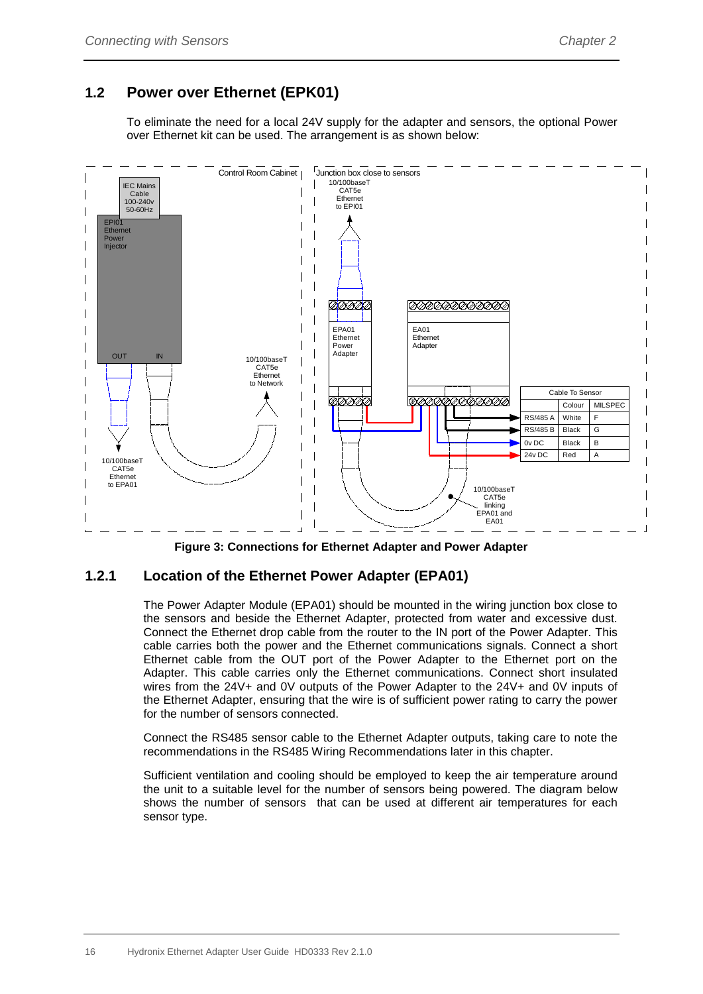## **1.2 Power over Ethernet (EPK01)**

To eliminate the need for a local 24V supply for the adapter and sensors, the optional Power over Ethernet kit can be used. The arrangement is as shown below:



**Figure 3: Connections for Ethernet Adapter and Power Adapter**

#### <span id="page-15-0"></span>**1.2.1 Location of the Ethernet Power Adapter (EPA01)**

The Power Adapter Module (EPA01) should be mounted in the wiring junction box close to the sensors and beside the Ethernet Adapter, protected from water and excessive dust. Connect the Ethernet drop cable from the router to the IN port of the Power Adapter. This cable carries both the power and the Ethernet communications signals. Connect a short Ethernet cable from the OUT port of the Power Adapter to the Ethernet port on the Adapter. This cable carries only the Ethernet communications. Connect short insulated wires from the 24V+ and 0V outputs of the Power Adapter to the 24V+ and 0V inputs of the Ethernet Adapter, ensuring that the wire is of sufficient power rating to carry the power for the number of sensors connected.

Connect the RS485 sensor cable to the Ethernet Adapter outputs, taking care to note the recommendations in the RS485 Wiring Recommendations later in this chapter.

Sufficient ventilation and cooling should be employed to keep the air temperature around the unit to a suitable level for the number of sensors being powered. The diagram below shows the number of sensors that can be used at different air temperatures for each sensor type.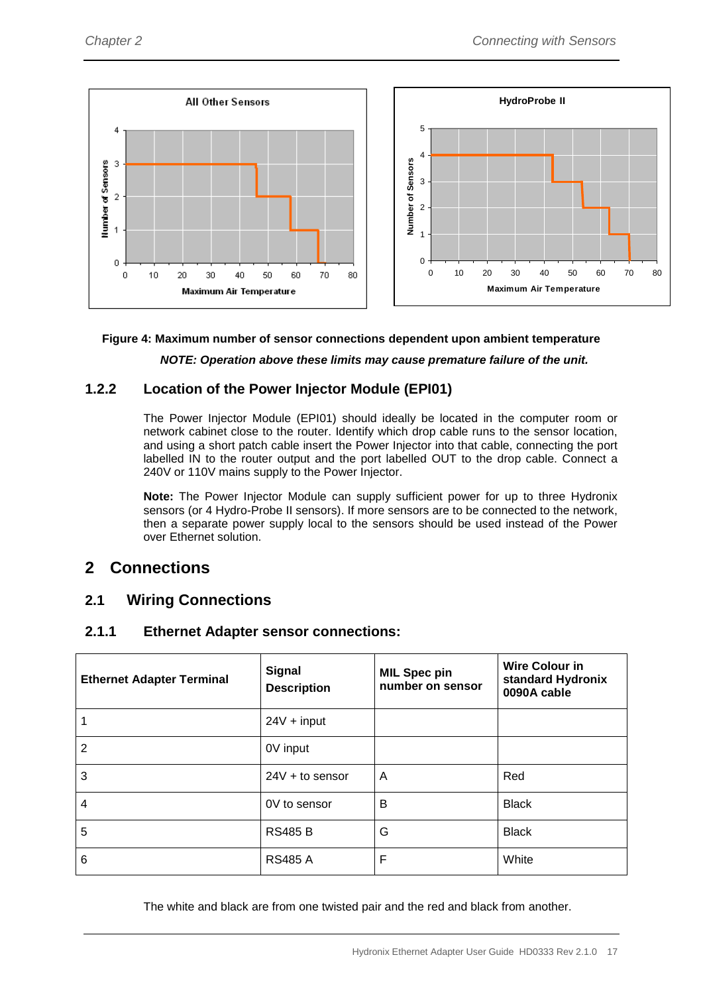

#### <span id="page-16-1"></span>**Figure 4: Maximum number of sensor connections dependent upon ambient temperature**

*NOTE: Operation above these limits may cause premature failure of the unit.*

#### **1.2.2 Location of the Power Injector Module (EPI01)**

The Power Injector Module (EPI01) should ideally be located in the computer room or network cabinet close to the router. Identify which drop cable runs to the sensor location, and using a short patch cable insert the Power Injector into that cable, connecting the port labelled IN to the router output and the port labelled OUT to the drop cable. Connect a 240V or 110V mains supply to the Power Injector.

**Note:** The Power Injector Module can supply sufficient power for up to three Hydronix sensors (or 4 Hydro-Probe II sensors). If more sensors are to be connected to the network, then a separate power supply local to the sensors should be used instead of the Power over Ethernet solution.

## <span id="page-16-0"></span>**2 Connections**

#### **2.1 Wiring Connections**

#### **2.1.1 Ethernet Adapter sensor connections:**

| <b>Ethernet Adapter Terminal</b> | <b>Signal</b><br><b>Description</b> | <b>MIL Spec pin</b><br>number on sensor | <b>Wire Colour in</b><br>standard Hydronix<br>0090A cable |
|----------------------------------|-------------------------------------|-----------------------------------------|-----------------------------------------------------------|
| 1                                | $24V + input$                       |                                         |                                                           |
| $\overline{2}$                   | 0V input                            |                                         |                                                           |
| 3                                | $24V + to$ sensor                   | A                                       | Red                                                       |
| 4                                | 0V to sensor                        | B                                       | <b>Black</b>                                              |
| 5                                | <b>RS485 B</b>                      | G                                       | <b>Black</b>                                              |
| 6                                | <b>RS485 A</b>                      | F                                       | White                                                     |

The white and black are from one twisted pair and the red and black from another.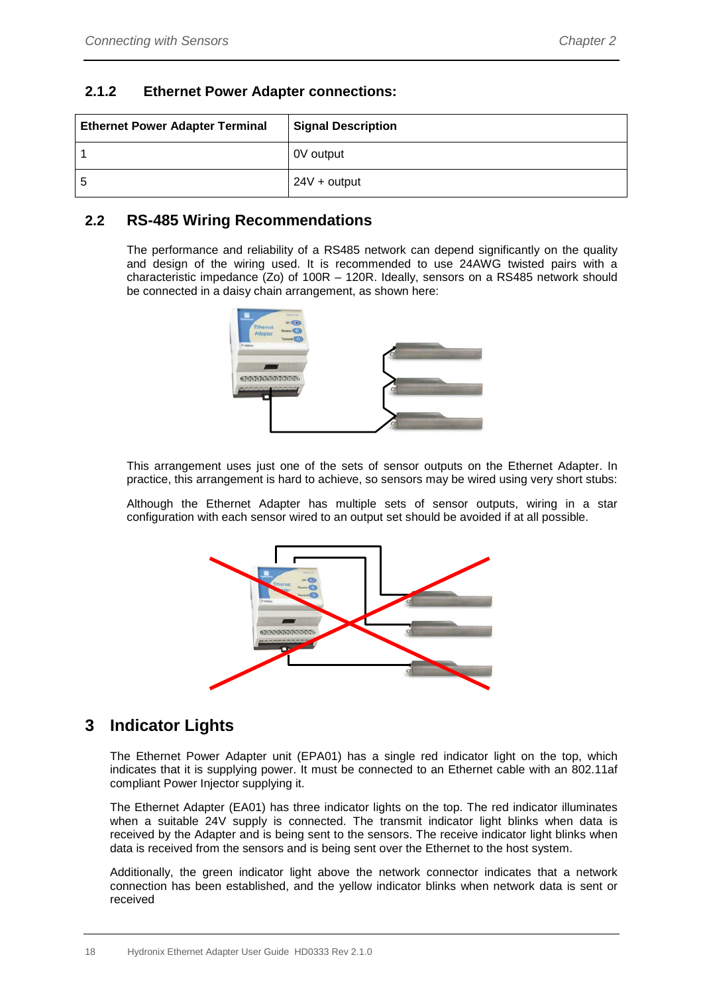#### **2.1.2 Ethernet Power Adapter connections:**

| <b>Ethernet Power Adapter Terminal</b> | <b>Signal Description</b> |
|----------------------------------------|---------------------------|
|                                        | 0V output                 |
| 5                                      | $24V + output$            |

### **2.2 RS-485 Wiring Recommendations**

The performance and reliability of a RS485 network can depend significantly on the quality and design of the wiring used. It is recommended to use 24AWG twisted pairs with a characteristic impedance (Zo) of 100R – 120R. Ideally, sensors on a RS485 network should be connected in a daisy chain arrangement, as shown here:



This arrangement uses just one of the sets of sensor outputs on the Ethernet Adapter. In practice, this arrangement is hard to achieve, so sensors may be wired using very short stubs:

Although the Ethernet Adapter has multiple sets of sensor outputs, wiring in a star configuration with each sensor wired to an output set should be avoided if at all possible.



# <span id="page-17-0"></span>**3 Indicator Lights**

The Ethernet Power Adapter unit (EPA01) has a single red indicator light on the top, which indicates that it is supplying power. It must be connected to an Ethernet cable with an 802.11af compliant Power Injector supplying it.

The Ethernet Adapter (EA01) has three indicator lights on the top. The red indicator illuminates when a suitable 24V supply is connected. The transmit indicator light blinks when data is received by the Adapter and is being sent to the sensors. The receive indicator light blinks when data is received from the sensors and is being sent over the Ethernet to the host system.

Additionally, the green indicator light above the network connector indicates that a network connection has been established, and the yellow indicator blinks when network data is sent or received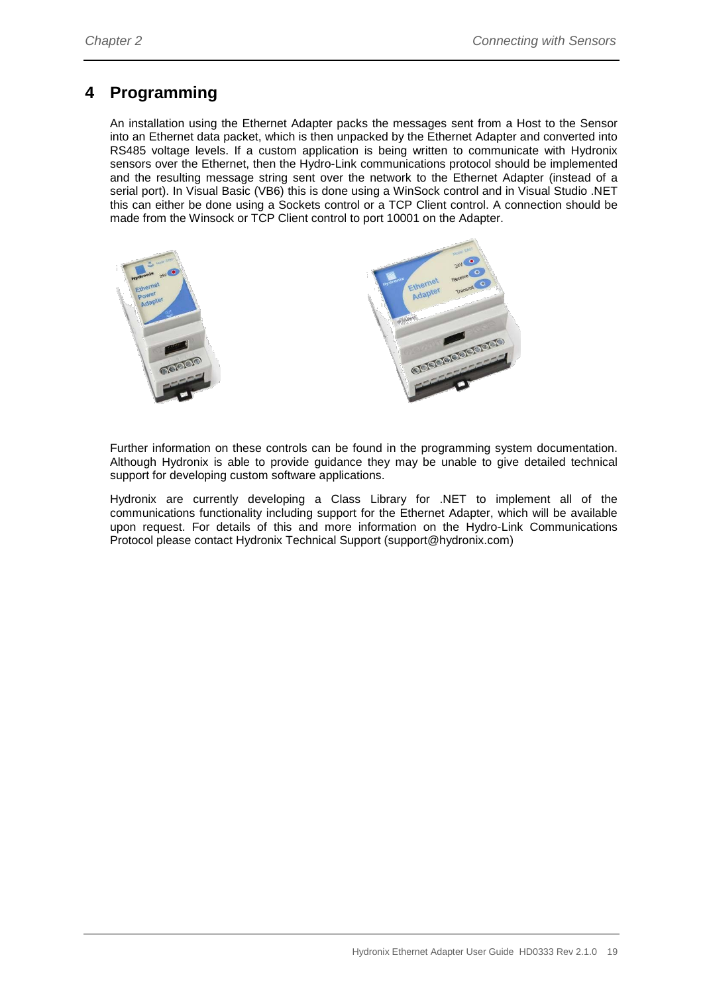# <span id="page-18-0"></span>**4 Programming**

An installation using the Ethernet Adapter packs the messages sent from a Host to the Sensor into an Ethernet data packet, which is then unpacked by the Ethernet Adapter and converted into RS485 voltage levels. If a custom application is being written to communicate with Hydronix sensors over the Ethernet, then the Hydro-Link communications protocol should be implemented and the resulting message string sent over the network to the Ethernet Adapter (instead of a serial port). In Visual Basic (VB6) this is done using a WinSock control and in Visual Studio .NET this can either be done using a Sockets control or a TCP Client control. A connection should be made from the Winsock or TCP Client control to port 10001 on the Adapter.



Further information on these controls can be found in the programming system documentation. Although Hydronix is able to provide guidance they may be unable to give detailed technical support for developing custom software applications.

Hydronix are currently developing a Class Library for .NET to implement all of the communications functionality including support for the Ethernet Adapter, which will be available upon request. For details of this and more information on the Hydro-Link Communications Protocol please contact Hydronix Technical Support (support@hydronix.com)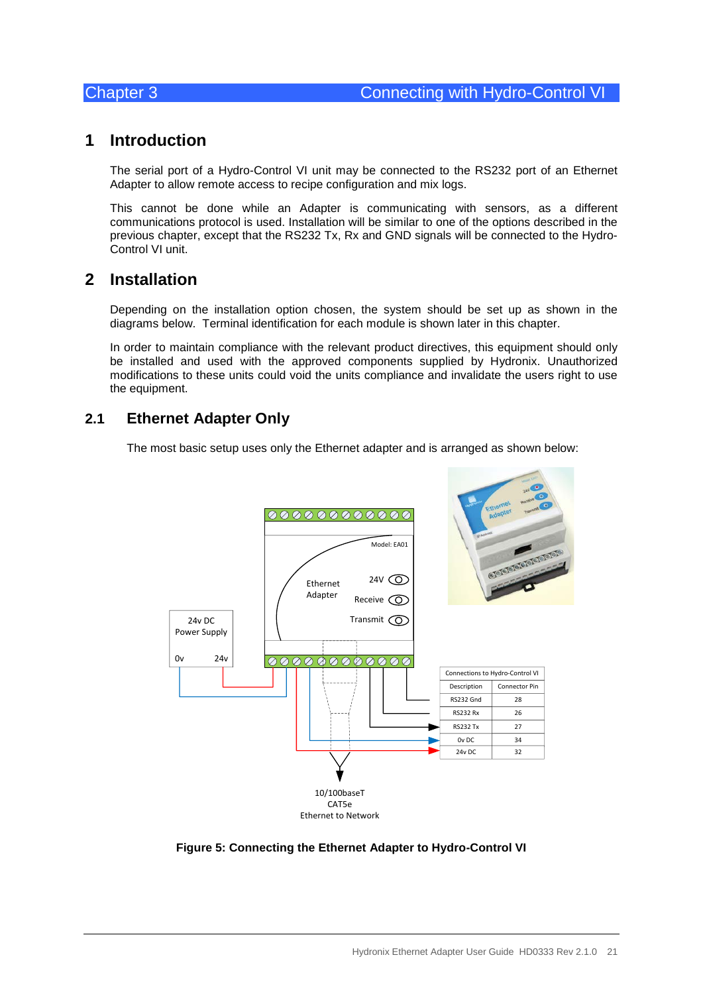## <span id="page-20-1"></span>**1 Introduction**

<span id="page-20-0"></span>The serial port of a Hydro-Control VI unit may be connected to the RS232 port of an Ethernet Adapter to allow remote access to recipe configuration and mix logs.

This cannot be done while an Adapter is communicating with sensors, as a different communications protocol is used. Installation will be similar to one of the options described in the previous chapter, except that the RS232 Tx, Rx and GND signals will be connected to the Hydro-Control VI unit.

## <span id="page-20-2"></span>**2 Installation**

Depending on the installation option chosen, the system should be set up as shown in the diagrams below. Terminal identification for each module is shown later in this chapter.

In order to maintain compliance with the relevant product directives, this equipment should only be installed and used with the approved components supplied by Hydronix. Unauthorized modifications to these units could void the units compliance and invalidate the users right to use the equipment.

#### **2.1 Ethernet Adapter Only**

The most basic setup uses only the Ethernet adapter and is arranged as shown below:



<span id="page-20-3"></span>**Figure 5: Connecting the Ethernet Adapter to Hydro-Control VI**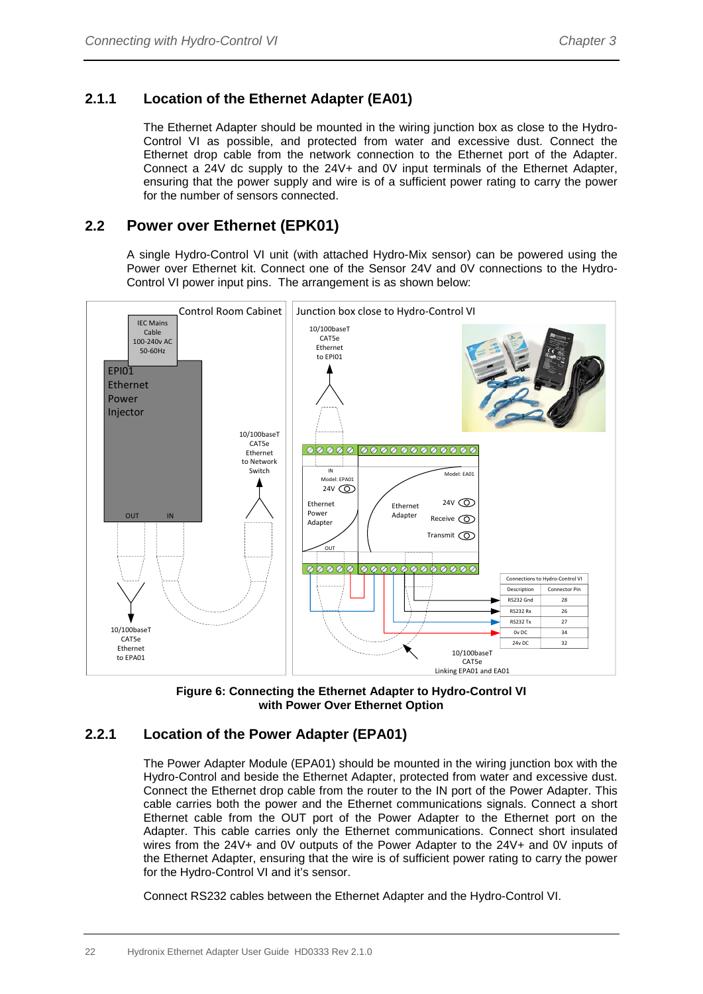#### **2.1.1 Location of the Ethernet Adapter (EA01)**

The Ethernet Adapter should be mounted in the wiring junction box as close to the Hydro-Control VI as possible, and protected from water and excessive dust. Connect the Ethernet drop cable from the network connection to the Ethernet port of the Adapter. Connect a 24V dc supply to the 24V+ and 0V input terminals of the Ethernet Adapter, ensuring that the power supply and wire is of a sufficient power rating to carry the power for the number of sensors connected.

#### **2.2 Power over Ethernet (EPK01)**

A single Hydro-Control VI unit (with attached Hydro-Mix sensor) can be powered using the Power over Ethernet kit. Connect one of the Sensor 24V and 0V connections to the Hydro-Control VI power input pins. The arrangement is as shown below:





#### <span id="page-21-0"></span>**2.2.1 Location of the Power Adapter (EPA01)**

The Power Adapter Module (EPA01) should be mounted in the wiring junction box with the Hydro-Control and beside the Ethernet Adapter, protected from water and excessive dust. Connect the Ethernet drop cable from the router to the IN port of the Power Adapter. This cable carries both the power and the Ethernet communications signals. Connect a short Ethernet cable from the OUT port of the Power Adapter to the Ethernet port on the Adapter. This cable carries only the Ethernet communications. Connect short insulated wires from the 24V+ and 0V outputs of the Power Adapter to the 24V+ and 0V inputs of the Ethernet Adapter, ensuring that the wire is of sufficient power rating to carry the power for the Hydro-Control VI and it's sensor.

Connect RS232 cables between the Ethernet Adapter and the Hydro-Control VI.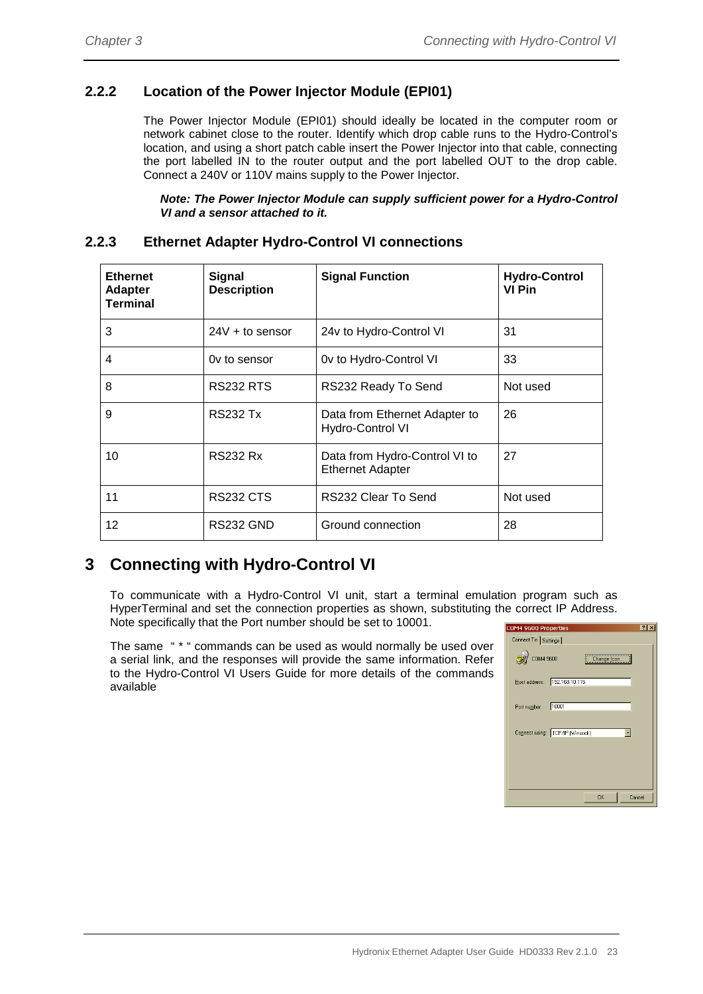#### **2.2.2 Location of the Power Injector Module (EPI01)**

The Power Injector Module (EPI01) should ideally be located in the computer room or network cabinet close to the router. Identify which drop cable runs to the Hydro-Control's location, and using a short patch cable insert the Power Injector into that cable, connecting the port labelled IN to the router output and the port labelled OUT to the drop cable. Connect a 240V or 110V mains supply to the Power Injector.

*Note: The Power Injector Module can supply sufficient power for a Hydro-Control VI and a sensor attached to it.*

#### **2.2.3 Ethernet Adapter Hydro-Control VI connections**

| <b>Ethernet</b><br><b>Adapter</b><br><b>Terminal</b> | <b>Signal</b><br><b>Description</b> | <b>Signal Function</b>                                   | <b>Hydro-Control</b><br>VI Pin |
|------------------------------------------------------|-------------------------------------|----------------------------------------------------------|--------------------------------|
| 3                                                    | $24V +$ to sensor                   | 24v to Hydro-Control VI                                  | 31                             |
| 4                                                    | Ov to sensor                        | Ov to Hydro-Control VI                                   | 33                             |
| 8                                                    | RS232 RTS                           | RS232 Ready To Send                                      | Not used                       |
| 9                                                    | <b>RS232 Tx</b>                     | Data from Ethernet Adapter to<br>Hydro-Control VI        | 26                             |
| 10                                                   | <b>RS232 Rx</b>                     | Data from Hydro-Control VI to<br><b>Ethernet Adapter</b> | 27                             |
| 11                                                   | <b>RS232 CTS</b>                    | RS232 Clear To Send                                      | Not used                       |
| 12                                                   | <b>RS232 GND</b>                    | Ground connection                                        | 28                             |

# <span id="page-22-0"></span>**3 Connecting with Hydro-Control VI**

To communicate with a Hydro-Control VI unit, start a terminal emulation program such as HyperTerminal and set the connection properties as shown, substituting the correct IP Address. Note specifically that the Port number should be set to 10001.

The same " \* " commands can be used as would normally be used over a serial link, and the responses will provide the same information. Refer to the Hydro-Control VI Users Guide for more details of the commands available

| COM4 9600 Properties            | 2x |
|---------------------------------|----|
| Connect To Settings             |    |
| COM4 9600<br>Change [con        |    |
| Host address:   192.168.10.115  |    |
| 10001<br>Port number:           |    |
| Connect using: TCP/IP (Winsock) |    |
|                                 |    |
|                                 |    |
| <b>OK</b><br>Cancel             |    |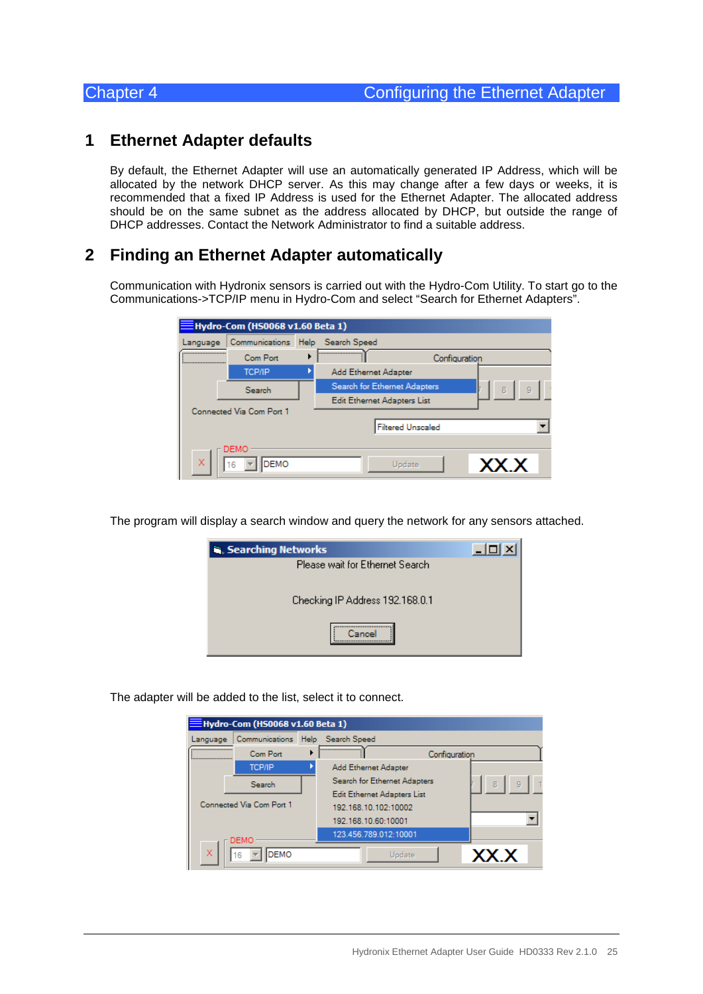## <span id="page-24-1"></span>**1 Ethernet Adapter defaults**

<span id="page-24-0"></span>By default, the Ethernet Adapter will use an automatically generated IP Address, which will be allocated by the network DHCP server. As this may change after a few days or weeks, it is recommended that a fixed IP Address is used for the Ethernet Adapter. The allocated address should be on the same subnet as the address allocated by DHCP, but outside the range of DHCP addresses. Contact the Network Administrator to find a suitable address.

## <span id="page-24-2"></span>**2 Finding an Ethernet Adapter automatically**

Communication with Hydronix sensors is carried out with the Hydro-Com Utility. To start go to the Communications->TCP/IP menu in Hydro-Com and select "Search for Ethernet Adapters".

| $\equiv$ Hydro-Com (HS0068 v1.60 Beta 1) |                          |  |                              |               |        |  |
|------------------------------------------|--------------------------|--|------------------------------|---------------|--------|--|
| Language                                 | Communications           |  | Help Search Speed            |               |        |  |
|                                          | Com Port                 |  |                              | Configuration |        |  |
|                                          | <b>TCP/IP</b>            |  | Add Ethernet Adapter         |               |        |  |
|                                          | Search                   |  | Search for Ethernet Adapters |               | 9<br>8 |  |
|                                          |                          |  | Edit Ethernet Adapters List  |               |        |  |
|                                          | Connected Via Com Port 1 |  |                              |               |        |  |
|                                          |                          |  | <b>Filtered Unscaled</b>     |               |        |  |
|                                          | DEMO                     |  |                              |               |        |  |
| X                                        | <b>DEMO</b><br>16        |  | Update                       |               | XX X   |  |

The program will display a search window and query the network for any sensors attached.

| Searching Networks              |  |
|---------------------------------|--|
| Please wait for Ethernet Search |  |
| Checking IP Address 192.168.0.1 |  |
|                                 |  |

The adapter will be added to the list, select it to connect.

|          | $\equiv$ Hydro-Com (HS0068 v1.60 Beta 1) |                              |               |      |
|----------|------------------------------------------|------------------------------|---------------|------|
| Language | Communications Help Search Speed         |                              |               |      |
|          | Com Port                                 |                              | Configuration |      |
|          | <b>TCP/IP</b>                            | Add Ethernet Adapter         |               |      |
|          | Search                                   | Search for Ethernet Adapters |               | 9    |
|          |                                          | Edit Ethernet Adapters List  |               |      |
|          | Connected Via Com Port 1                 | 192.168.10.102:10002         |               |      |
|          |                                          | 192.168.10.60:10001          |               |      |
|          | DEMO                                     | 123.456.789.012:10001        |               |      |
| ×        | <b>DEMO</b><br>16                        | Update                       |               | XX X |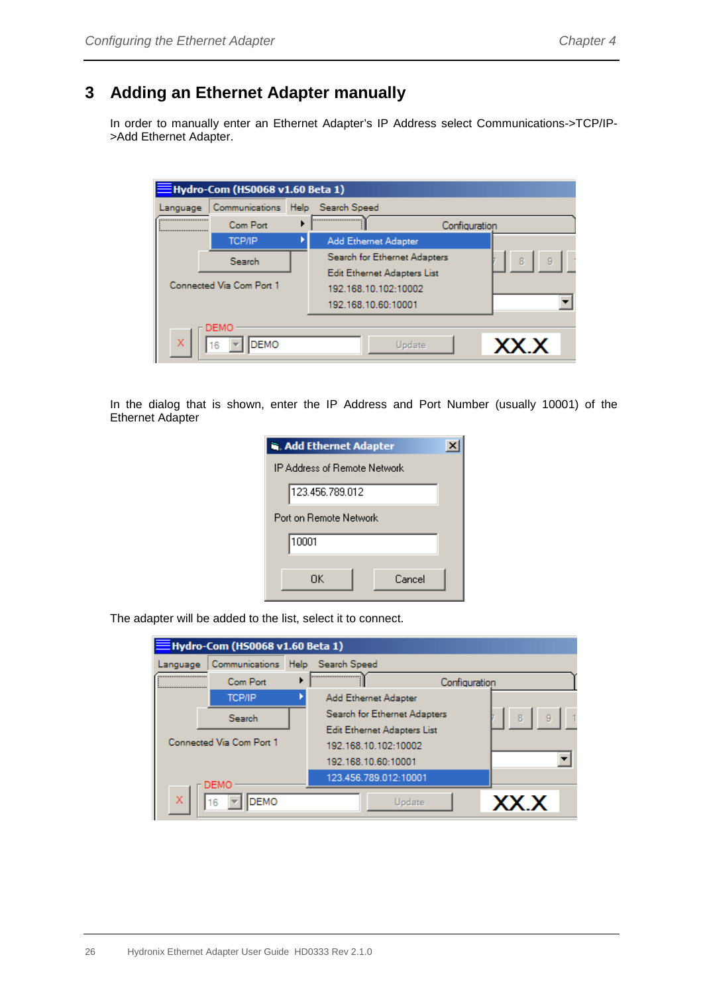# <span id="page-25-0"></span>**3 Adding an Ethernet Adapter manually**

In order to manually enter an Ethernet Adapter's IP Address select Communications->TCP/IP- >Add Ethernet Adapter.

| Hydro-Com (HS0068 v1.60 Beta 1) |                          |             |                              |               |        |
|---------------------------------|--------------------------|-------------|------------------------------|---------------|--------|
| Language                        | Communications           | <b>Help</b> | Search Speed                 |               |        |
| <br>:                           | Com Port                 |             |                              | Configuration |        |
|                                 | <b>TCP/IP</b>            |             | Add Ethernet Adapter         |               |        |
|                                 | Search                   |             | Search for Ethernet Adapters |               | 8<br>9 |
|                                 |                          |             | Edit Ethernet Adapters List  |               |        |
|                                 | Connected Via Com Port 1 |             | 192.168.10.102:10002         |               |        |
|                                 |                          |             | 192.168.10.60:10001          |               |        |
|                                 | DEMO                     |             |                              |               |        |
| X                               | <b>DEMO</b><br>16        |             | Update                       |               | XX.X   |

In the dialog that is shown, enter the IP Address and Port Number (usually 10001) of the Ethernet Adapter

| <b>is, Add Ethernet Adapter</b> |  |  |  |  |
|---------------------------------|--|--|--|--|
| IP Address of Remote Network    |  |  |  |  |
| 123.456.789.012                 |  |  |  |  |
| Port on Bemote Network          |  |  |  |  |
| 10001                           |  |  |  |  |
| ΠK<br>Cancel                    |  |  |  |  |

The adapter will be added to the list, select it to connect.

| $\equiv$ Hydro-Com (HS0068 v1.60 Beta 1) |             |                              |               |        |
|------------------------------------------|-------------|------------------------------|---------------|--------|
| Communications<br>Language               |             | Help Search Speed            |               |        |
| <br>Com Port<br>                         |             |                              | Configuration |        |
| <b>TCP/IP</b>                            |             | Add Ethernet Adapter         |               |        |
| Search                                   |             | Search for Ethernet Adapters |               | 8<br>9 |
|                                          |             | Edit Ethernet Adapters List  |               |        |
| Connected Via Com Port 1                 |             | 192.168.10.102:10002         |               |        |
|                                          |             | 192.168.10.60:10001          |               |        |
| <b>DEMO</b>                              |             | 123.456.789.012:10001        |               |        |
| x<br>16                                  | <b>DEMO</b> |                              | Update        |        |
|                                          |             |                              |               | XX.X   |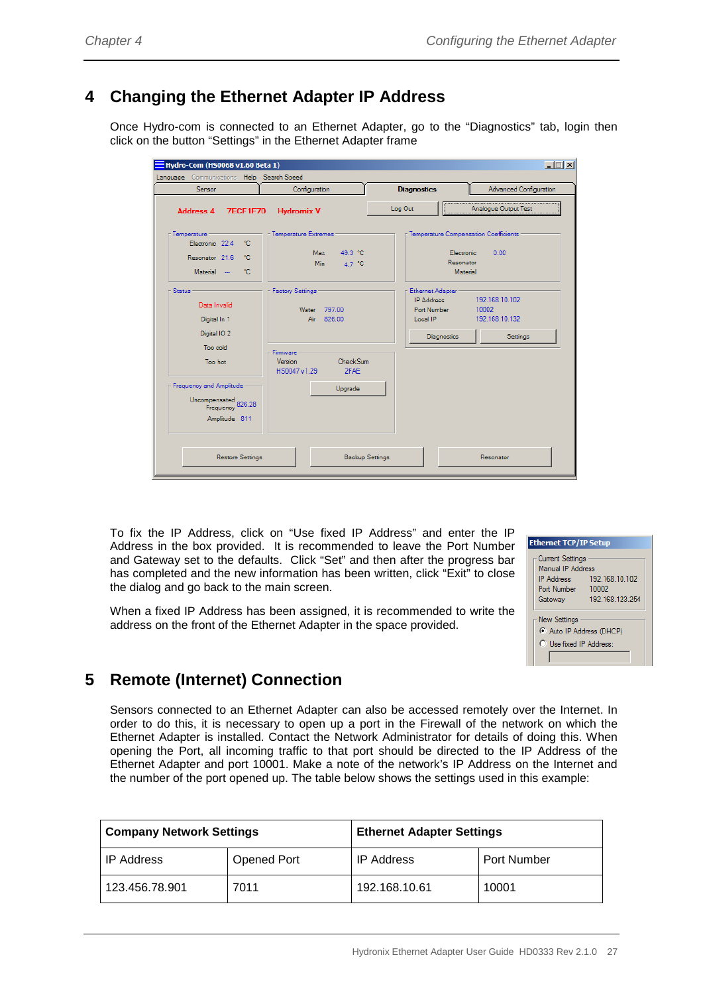# <span id="page-26-0"></span>**4 Changing the Ethernet Adapter IP Address**

Once Hydro-com is connected to an Ethernet Adapter, go to the "Diagnostics" tab, login then click on the button "Settings" in the Ethernet Adapter frame

| Hydro-Com (HS0068 v1.60 Beta 1)<br>Language Communications Help Search Speed         |                                                             | $\Box$ $\Box$ $\times$                                                                                                                   |  |  |
|--------------------------------------------------------------------------------------|-------------------------------------------------------------|------------------------------------------------------------------------------------------------------------------------------------------|--|--|
| Sensor                                                                               | Configuration                                               | <b>Diagnostics</b><br><b>Advanced Configuration</b>                                                                                      |  |  |
| <b>Address 4</b><br><b>7ECF1F70</b>                                                  | <b>Hydromix V</b>                                           | Log Out<br>Analogue Output Test                                                                                                          |  |  |
| Temperature -<br>°C<br>Electronic 22.4<br>Resonator 21.6<br>°C<br>÷с<br>Material --  | Temperature Extremes<br>Max 49.3 °C<br><b>Min</b><br>4.7 °C | Temperature Compensation Coefficients<br>0.00<br>Flectronic<br>Resonator<br>Material                                                     |  |  |
| <b>Status</b><br>Data Invalid<br>Digital In 1<br>Digital IO <sub>2</sub><br>Too cold | <b>Factory Settings</b><br>Water 797.00<br>826.00<br>Air    | Ethernet Adapter<br><b>IP Address</b><br>192 168 10 102<br>10002<br>Port Number<br>192.168.10.132<br>Local IP<br>Diagnostics<br>Settings |  |  |
| Too hot                                                                              | Firmware<br>Version<br>CheckSum<br>2FAE<br>HS0047 v1.29     |                                                                                                                                          |  |  |
| Frequency and Amplitude<br>Uncompensated<br>Frequency 826.28<br>Amplitude 811        | Upgrade                                                     |                                                                                                                                          |  |  |
| <b>Restore Settings</b><br><b>Backup Settings</b><br>Resonator                       |                                                             |                                                                                                                                          |  |  |

To fix the IP Address, click on "Use fixed IP Address" and enter the IP Address in the box provided. It is recommended to leave the Port Number and Gateway set to the defaults. Click "Set" and then after the progress bar has completed and the new information has been written, click "Exit" to close the dialog and go back to the main screen.

When a fixed IP Address has been assigned, it is recommended to write the address on the front of the Ethernet Adapter in the space provided.

| <b>Ethernet TCP/IP Setup</b>                 |                         |
|----------------------------------------------|-------------------------|
| <b>Current Settings</b><br>Manual IP Address |                         |
| <b>IP Address</b><br>Port Number             | 192.168.10.102<br>10002 |
| Gateway                                      | 192 168 123 254         |
| <b>New Settings</b>                          |                         |
|                                              | Auto IP Address (DHCP)  |
|                                              | C Use fixed IP Address: |
|                                              |                         |

# <span id="page-26-1"></span>**5 Remote (Internet) Connection**

Sensors connected to an Ethernet Adapter can also be accessed remotely over the Internet. In order to do this, it is necessary to open up a port in the Firewall of the network on which the Ethernet Adapter is installed. Contact the Network Administrator for details of doing this. When opening the Port, all incoming traffic to that port should be directed to the IP Address of the Ethernet Adapter and port 10001. Make a note of the network's IP Address on the Internet and the number of the port opened up. The table below shows the settings used in this example:

| <b>Company Network Settings</b> |             | <b>Ethernet Adapter Settings</b> |                    |  |
|---------------------------------|-------------|----------------------------------|--------------------|--|
| <b>IP Address</b>               | Opened Port | <b>IP Address</b>                | <b>Port Number</b> |  |
| 123.456.78.901                  | 7011        | 192.168.10.61                    | 10001              |  |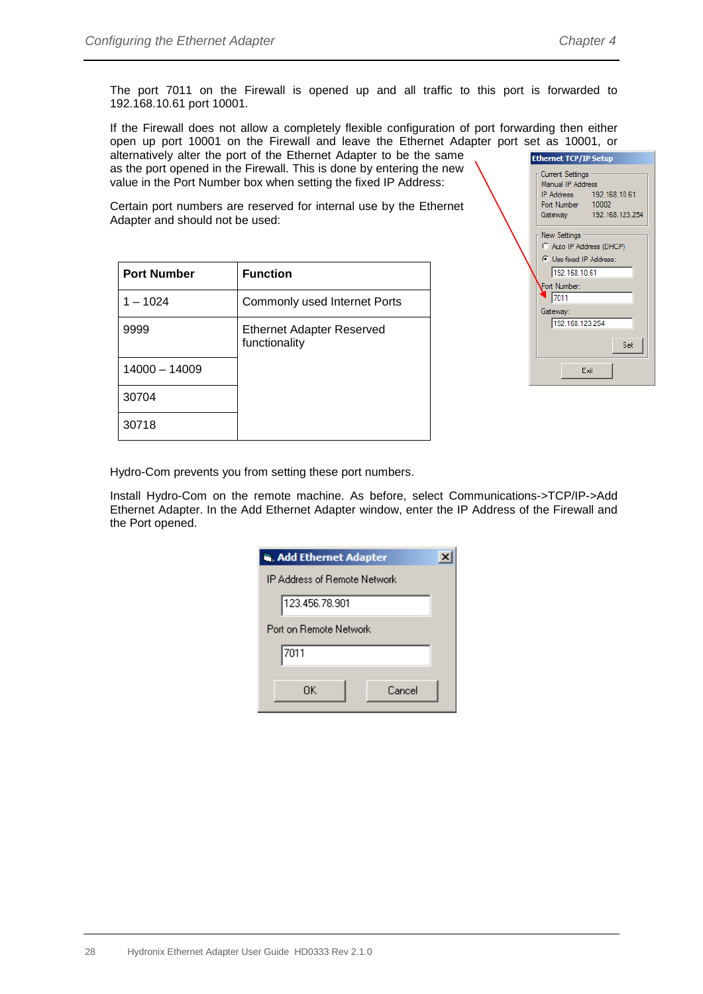The port 7011 on the Firewall is opened up and all traffic to this port is forwarded to 192.168.10.61 port 10001.

If the Firewall does not allow a completely flexible configuration of port forwarding then either open up port 10001 on the Firewall and leave the Ethernet Adapter port set as 10001, or alternatively alter the port of the Ethernet Adapter to be the same as the port opened in the Firewall. This is done by entering the new value in the Port Number box when setting the fixed IP Address:

Certain port numbers are reserved for internal use by the Ethernet Adapter and should not be used:

| <b>Port Number</b> | <b>Function</b>                                   |
|--------------------|---------------------------------------------------|
| $1 - 1024$         | Commonly used Internet Ports                      |
| 9999               | <b>Ethernet Adapter Reserved</b><br>functionality |
| 14000 - 14009      |                                                   |
| 30704              |                                                   |
| 30718              |                                                   |

| <b>Ethernet TCP/IP Setup</b>                 |                          |
|----------------------------------------------|--------------------------|
| <b>Current Settings</b><br>Manual IP Address |                          |
|                                              | IP Address 192.168.10.61 |
| Port Number 10002                            |                          |
|                                              | Gateway 192.168.123.254  |
| New Settings                                 |                          |
| C Auto IP Address (DHCP)                     |                          |
| C Use fixed IP Address:                      |                          |
| 192.168.10.61                                |                          |
| Port Number:                                 |                          |
| 7011                                         |                          |
| Gateway:                                     |                          |
| 192.168.123.254                              |                          |
|                                              |                          |
|                                              | Set                      |
|                                              | Exit                     |

Hydro-Com prevents you from setting these port numbers.

Install Hydro-Com on the remote machine. As before, select Communications->TCP/IP->Add Ethernet Adapter. In the Add Ethernet Adapter window, enter the IP Address of the Firewall and the Port opened.

| <b>R. Add Ethernet Adapter</b> |  |  |  |  |
|--------------------------------|--|--|--|--|
| IP Address of Remote Network.  |  |  |  |  |
| 123.456.78.901                 |  |  |  |  |
| Port on Remote Network         |  |  |  |  |
| 7011                           |  |  |  |  |
| Cancel<br>OΚ                   |  |  |  |  |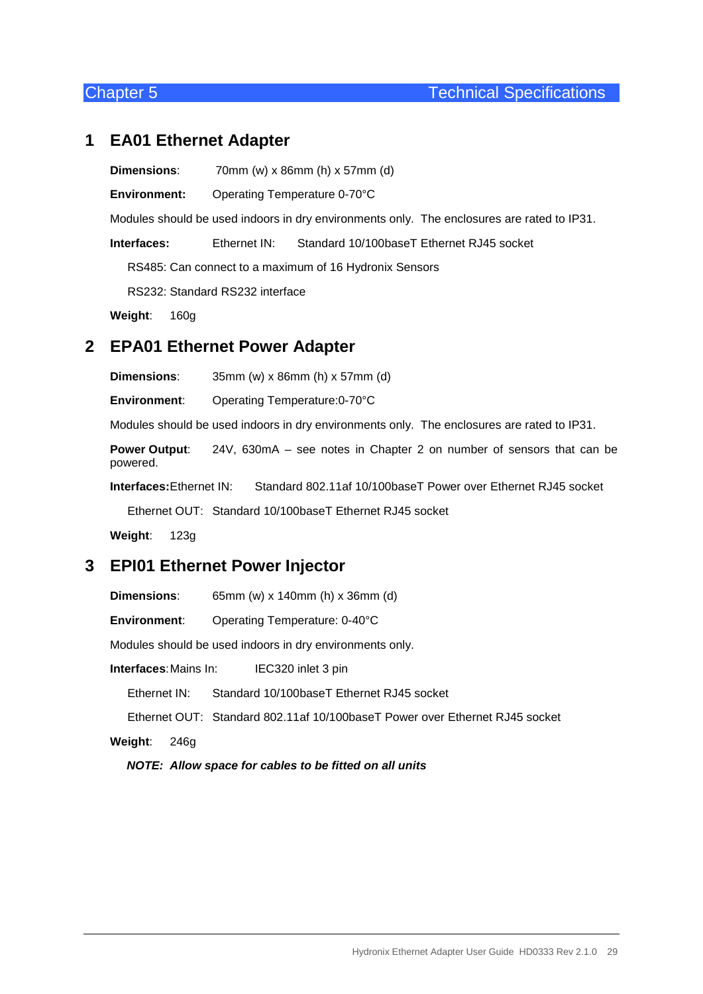#### <span id="page-28-1"></span>**1 EA01 Ethernet Adapter**

<span id="page-28-0"></span>**Dimensions**: 70mm (w) x 86mm (h) x 57mm (d)

**Environment:** Operating Temperature 0-70°C

Modules should be used indoors in dry environments only. The enclosures are rated to IP31.

**Interfaces:** Ethernet IN: Standard 10/100baseT Ethernet RJ45 socket

RS485: Can connect to a maximum of 16 Hydronix Sensors

RS232: Standard RS232 interface

**Weight**: 160g

## <span id="page-28-2"></span>**2 EPA01 Ethernet Power Adapter**

**Dimensions**: 35mm (w) x 86mm (h) x 57mm (d)

**Environment**: Operating Temperature:0-70°C

Modules should be used indoors in dry environments only. The enclosures are rated to IP31.

**Power Output**: 24V, 630mA – see notes in Chapter 2 on number of sensors that can be powered.

**Interfaces:**Ethernet IN: Standard 802.11af 10/100baseT Power over Ethernet RJ45 socket

Ethernet OUT: Standard 10/100baseT Ethernet RJ45 socket

**Weight**: 123g

## <span id="page-28-3"></span>**3 EPI01 Ethernet Power Injector**

**Dimensions**: 65mm (w) x 140mm (h) x 36mm (d)

**Environment**: Operating Temperature: 0-40°C

Modules should be used indoors in dry environments only.

**Interfaces**:Mains In: IEC320 inlet 3 pin

Ethernet IN: Standard 10/100baseT Ethernet RJ45 socket

Ethernet OUT: Standard 802.11af 10/100baseT Power over Ethernet RJ45 socket

**Weight**: 246g

*NOTE: Allow space for cables to be fitted on all units*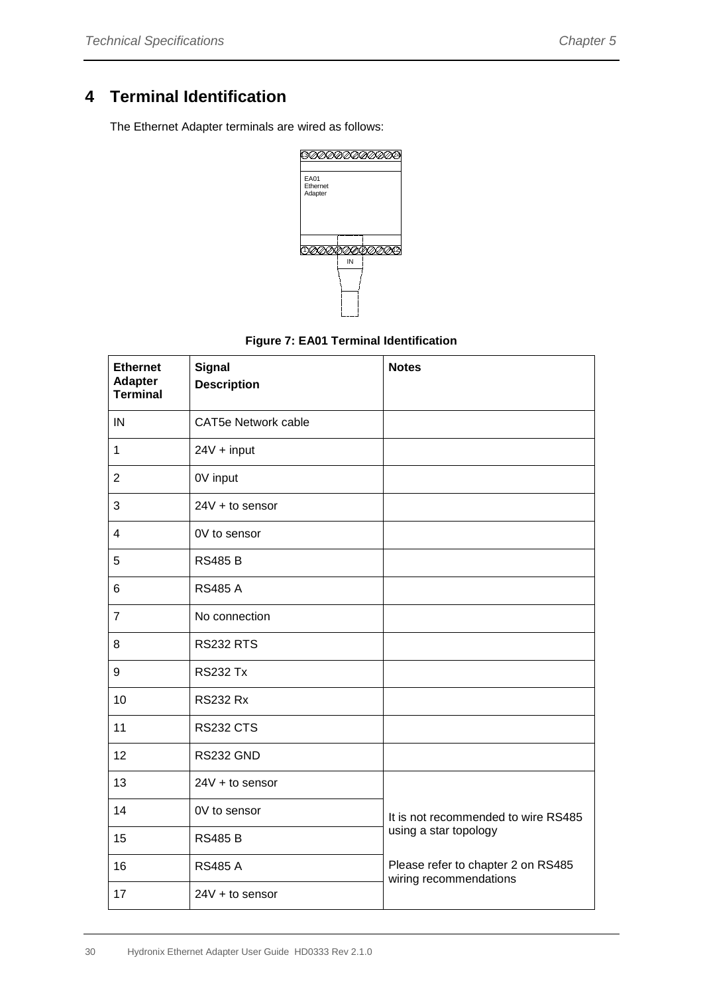# <span id="page-29-0"></span>**4 Terminal Identification**

The Ethernet Adapter terminals are wired as follows:



<span id="page-29-1"></span>

| <b>Ethernet</b><br><b>Adapter</b><br><b>Terminal</b> | <b>Signal</b><br><b>Description</b> | <b>Notes</b>                                                 |
|------------------------------------------------------|-------------------------------------|--------------------------------------------------------------|
|                                                      |                                     |                                                              |
| IN                                                   | <b>CAT5e Network cable</b>          |                                                              |
| 1                                                    | 24V + input                         |                                                              |
| $\overline{2}$                                       | 0V input                            |                                                              |
| 3                                                    | $24V + to sensor$                   |                                                              |
| 4                                                    | 0V to sensor                        |                                                              |
| 5                                                    | <b>RS485 B</b>                      |                                                              |
| 6                                                    | <b>RS485 A</b>                      |                                                              |
| $\overline{7}$                                       | No connection                       |                                                              |
| 8                                                    | <b>RS232 RTS</b>                    |                                                              |
| 9                                                    | <b>RS232 Tx</b>                     |                                                              |
| 10                                                   | <b>RS232 Rx</b>                     |                                                              |
| 11                                                   | <b>RS232 CTS</b>                    |                                                              |
| 12                                                   | RS232 GND                           |                                                              |
| 13                                                   | 24V + to sensor                     |                                                              |
| 14                                                   | 0V to sensor                        | It is not recommended to wire RS485                          |
| 15                                                   | <b>RS485 B</b>                      | using a star topology                                        |
| 16                                                   | <b>RS485 A</b>                      | Please refer to chapter 2 on RS485<br>wiring recommendations |
| 17                                                   | $24V + to$ sensor                   |                                                              |

#### **Figure 7: EA01 Terminal Identification**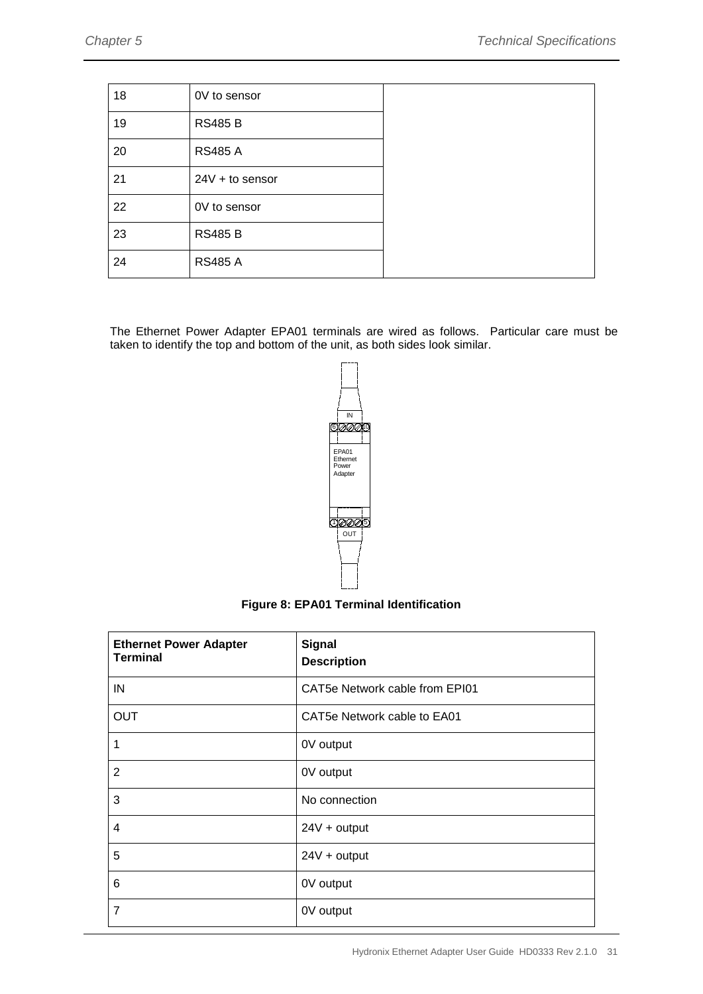| 18 | 0V to sensor    |  |
|----|-----------------|--|
| 19 | <b>RS485 B</b>  |  |
| 20 | <b>RS485 A</b>  |  |
| 21 | 24V + to sensor |  |
| 22 | 0V to sensor    |  |
| 23 | <b>RS485 B</b>  |  |
| 24 | <b>RS485 A</b>  |  |

The Ethernet Power Adapter EPA01 terminals are wired as follows. Particular care must be taken to identify the top and bottom of the unit, as both sides look similar.



**Figure 8: EPA01 Terminal Identification**

<span id="page-30-0"></span>

| <b>Ethernet Power Adapter</b><br><b>Terminal</b> | <b>Signal</b><br><b>Description</b> |
|--------------------------------------------------|-------------------------------------|
| IN                                               | CAT5e Network cable from EPI01      |
| <b>OUT</b>                                       | CAT5e Network cable to EA01         |
| 1                                                | 0V output                           |
| $\overline{2}$                                   | 0V output                           |
| 3                                                | No connection                       |
| $\overline{4}$                                   | $24V +$ output                      |
| 5                                                | $24V +$ output                      |
| 6                                                | 0V output                           |
| $\overline{7}$                                   | 0V output                           |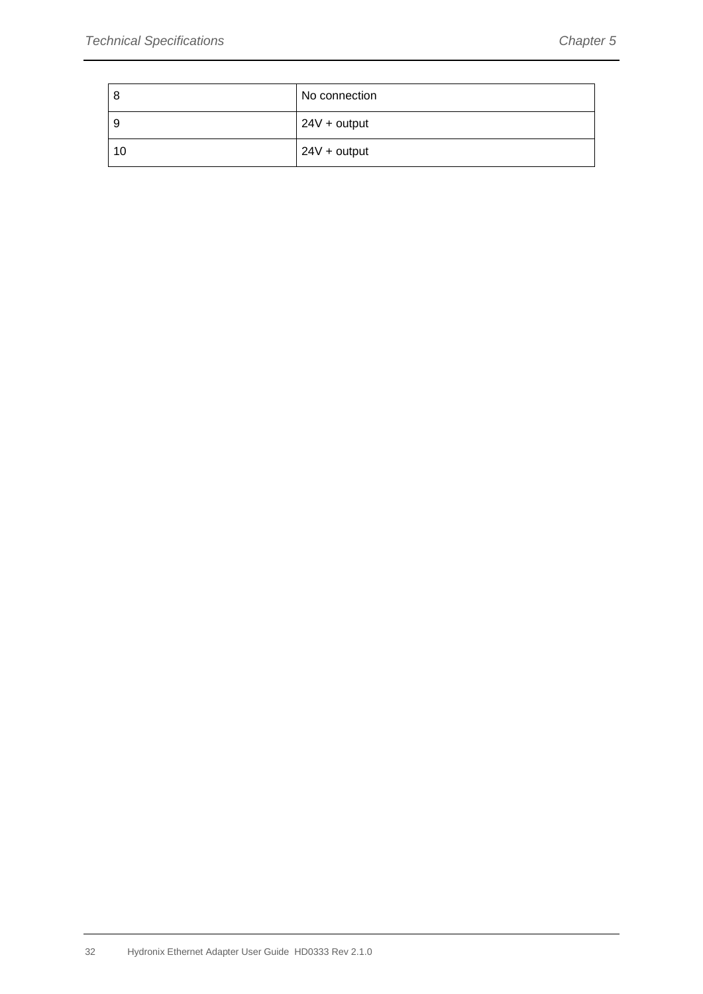| - 8 | No connection  |
|-----|----------------|
| -9  | $24V +$ output |
| 10  | $24V +$ output |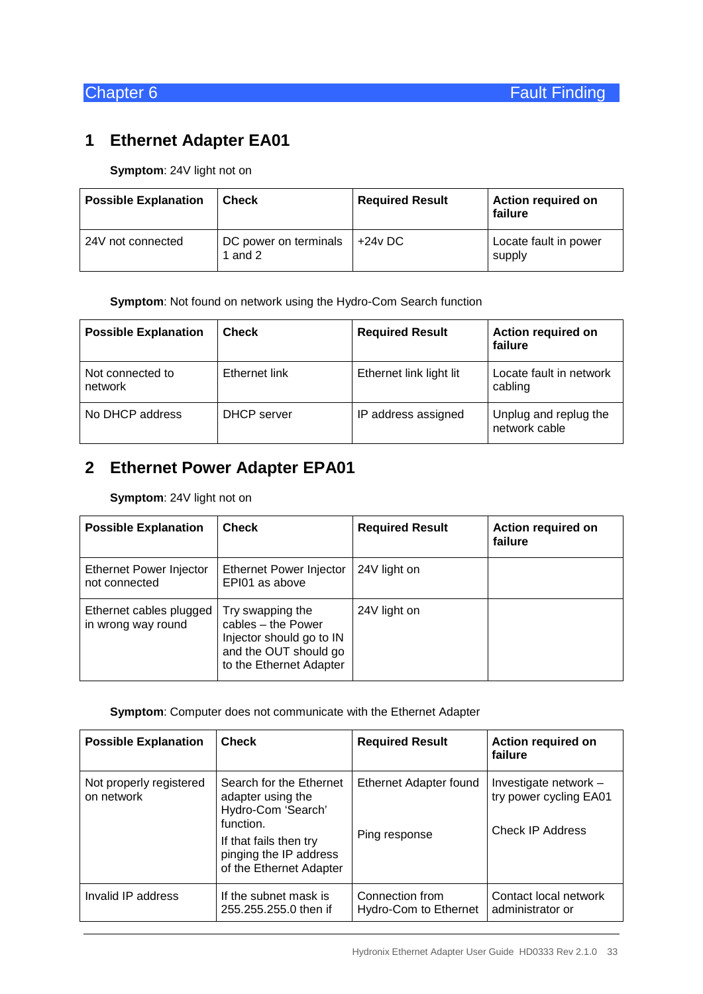# <span id="page-32-1"></span>**1 Ethernet Adapter EA01**

<span id="page-32-0"></span>**Symptom**: 24V light not on

| <b>Possible Explanation</b> | Check                              | <b>Required Result</b> | <b>Action required on</b><br>failure |
|-----------------------------|------------------------------------|------------------------|--------------------------------------|
| 24V not connected           | DC power on terminals<br>1 and $2$ | +24v DC                | Locate fault in power<br>supply      |

**Symptom**: Not found on network using the Hydro-Com Search function

| <b>Possible Explanation</b> | <b>Check</b>  | <b>Required Result</b>  | <b>Action required on</b><br>failure   |
|-----------------------------|---------------|-------------------------|----------------------------------------|
| Not connected to<br>network | Ethernet link | Ethernet link light lit | Locate fault in network<br>cabling     |
| No DHCP address             | DHCP server   | IP address assigned     | Unplug and replug the<br>network cable |

# <span id="page-32-2"></span>**2 Ethernet Power Adapter EPA01**

**Symptom**: 24V light not on

| <b>Possible Explanation</b>                   | <b>Check</b>                                                                                                           | <b>Required Result</b> | <b>Action required on</b><br>failure |
|-----------------------------------------------|------------------------------------------------------------------------------------------------------------------------|------------------------|--------------------------------------|
| Ethernet Power Injector<br>not connected      | Ethernet Power Injector<br>EPI01 as above                                                                              | 24V light on           |                                      |
| Ethernet cables plugged<br>in wrong way round | Try swapping the<br>cables - the Power<br>Injector should go to IN<br>and the OUT should go<br>to the Ethernet Adapter | 24V light on           |                                      |

#### **Symptom**: Computer does not communicate with the Ethernet Adapter

| <b>Possible Explanation</b>           | <b>Check</b>                                                                                                                                                   | <b>Required Result</b>                         | <b>Action required on</b><br>failure                                       |
|---------------------------------------|----------------------------------------------------------------------------------------------------------------------------------------------------------------|------------------------------------------------|----------------------------------------------------------------------------|
| Not properly registered<br>on network | Search for the Ethernet<br>adapter using the<br>Hydro-Com 'Search'<br>function.<br>If that fails then try<br>pinging the IP address<br>of the Ethernet Adapter | <b>Ethernet Adapter found</b><br>Ping response | Investigate network -<br>try power cycling EA01<br><b>Check IP Address</b> |
| Invalid IP address                    | If the subnet mask is<br>255.255.255.0 then if                                                                                                                 | Connection from<br>Hydro-Com to Ethernet       | Contact local network<br>administrator or                                  |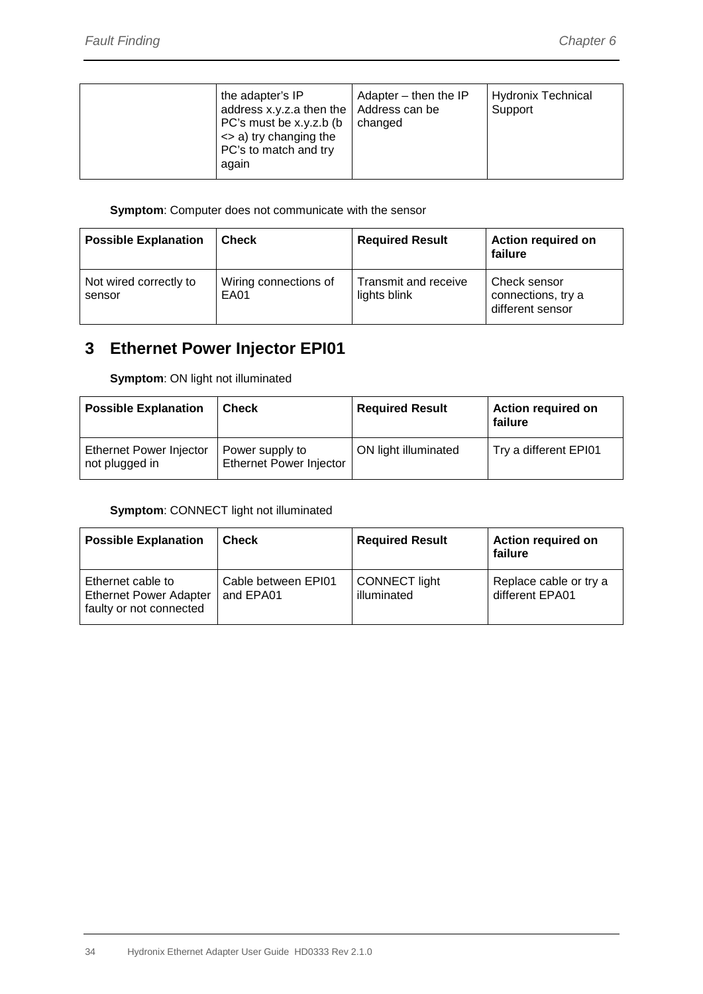| the adapter's IP<br>address x.y.z.a then the $\vert$ Address can be<br>PC's must be x.y.z.b (b)<br><> a) try changing the<br>PC's to match and try<br>again | Adapter $-$ then the IP<br>changed | <b>Hydronix Technical</b><br>Support |
|-------------------------------------------------------------------------------------------------------------------------------------------------------------|------------------------------------|--------------------------------------|
|-------------------------------------------------------------------------------------------------------------------------------------------------------------|------------------------------------|--------------------------------------|

#### **Symptom**: Computer does not communicate with the sensor

| <b>Possible Explanation</b>      | Check                         | <b>Required Result</b>               | <b>Action required on</b><br>failure                   |
|----------------------------------|-------------------------------|--------------------------------------|--------------------------------------------------------|
| Not wired correctly to<br>sensor | Wiring connections of<br>EA01 | Transmit and receive<br>lights blink | Check sensor<br>connections, try a<br>different sensor |

# <span id="page-33-0"></span>**3 Ethernet Power Injector EPI01**

**Symptom**: ON light not illuminated

| <b>Possible Explanation</b>               | <b>Check</b>                               | <b>Required Result</b> | <b>Action required on</b><br>failure |
|-------------------------------------------|--------------------------------------------|------------------------|--------------------------------------|
| Ethernet Power Injector<br>not plugged in | Power supply to<br>Ethernet Power Injector | ON light illuminated   | Try a different EPI01                |

#### **Symptom**: CONNECT light not illuminated

| <b>Possible Explanation</b>                                                   | <b>Check</b>                     | <b>Required Result</b>              | <b>Action required on</b><br>failure      |
|-------------------------------------------------------------------------------|----------------------------------|-------------------------------------|-------------------------------------------|
| Ethernet cable to<br><b>Ethernet Power Adapter</b><br>faulty or not connected | Cable between EPI01<br>and EPA01 | <b>CONNECT</b> light<br>illuminated | Replace cable or try a<br>different EPA01 |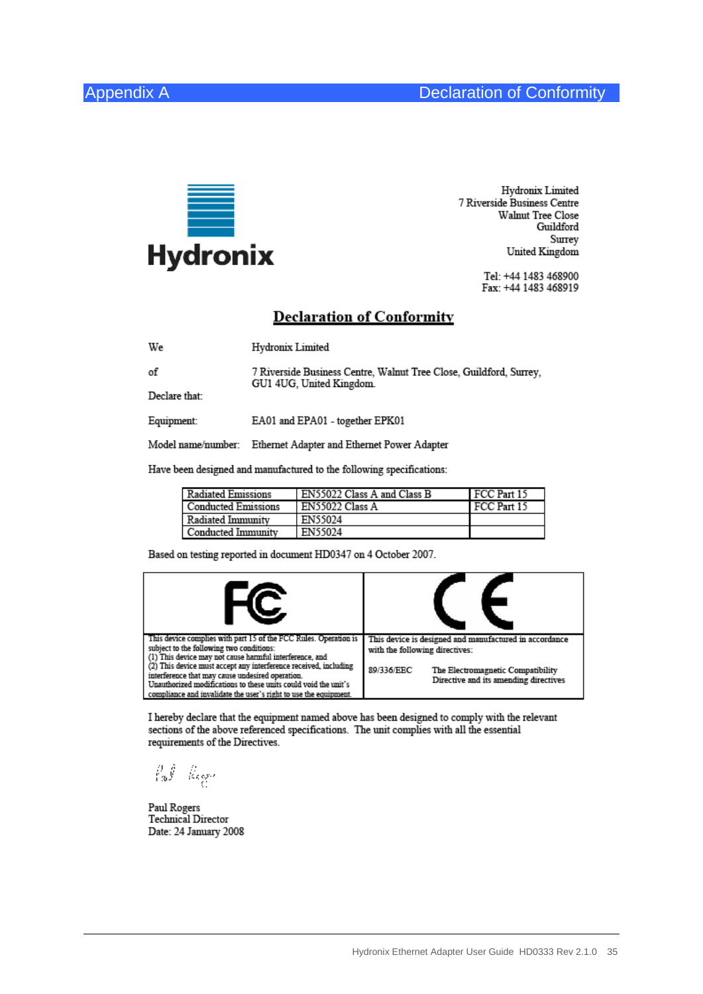of



<span id="page-34-0"></span>Hydronix Limited 7 Riverside Business Centre Walnut Tree Close Guildford Surrey United Kingdom

> Tel: +44 1483 468900 Fax: +44 1483 468919

#### **Declaration of Conformity**

We Hydronix Limited

7 Riverside Business Centre, Walnut Tree Close, Guildford, Surrey, GU1 4UG, United Kingdom. Declare that:

Equipment: EA01 and EPA01 - together EPK01

Model name/number: Ethernet Adapter and Ethernet Power Adapter

Have been designed and manufactured to the following specifications:

| <b>Radiated Emissions</b> | EN55022 Class A and Class B | FCC Part 15 |
|---------------------------|-----------------------------|-------------|
| Conducted Emissions       | EN55022 Class A             | FCC Part 15 |
| Radiated Immunity         | EN55024                     |             |
| Conducted Immunity        | EN55024                     |             |

Based on testing reported in document HD0347 on 4 October 2007.

| This device complies with part 15 of the FCC Rules. Operation is<br>subject to the following two conditions:<br>(1) This device may not cause harmful interference, and<br>$(2)$ This device must accept any interference received, including | This device is designed and manufactured in accordance<br>with the following directives: |
|-----------------------------------------------------------------------------------------------------------------------------------------------------------------------------------------------------------------------------------------------|------------------------------------------------------------------------------------------|
| interference that may cause undesired operation.<br>Unauthorized modifications to these units could void the unit's<br>compliance and invalidate the user's right to use the equipment.                                                       | 89/336/EEC<br>The Electromagnetic Compatibility<br>Directive and its amending directives |

I hereby declare that the equipment named above has been designed to comply with the relevant sections of the above referenced specifications. The unit complies with all the essential requirements of the Directives.

 $\int_{1/3}^1 \int_{\mathbb{R}}^1 \cdots \int_{\mathbb{R}}^1_{\mathbb{R}} \frac{d\mu}{\mu} d\mu$ 

Paul Rogers **Technical Director** Date: 24 January 2008